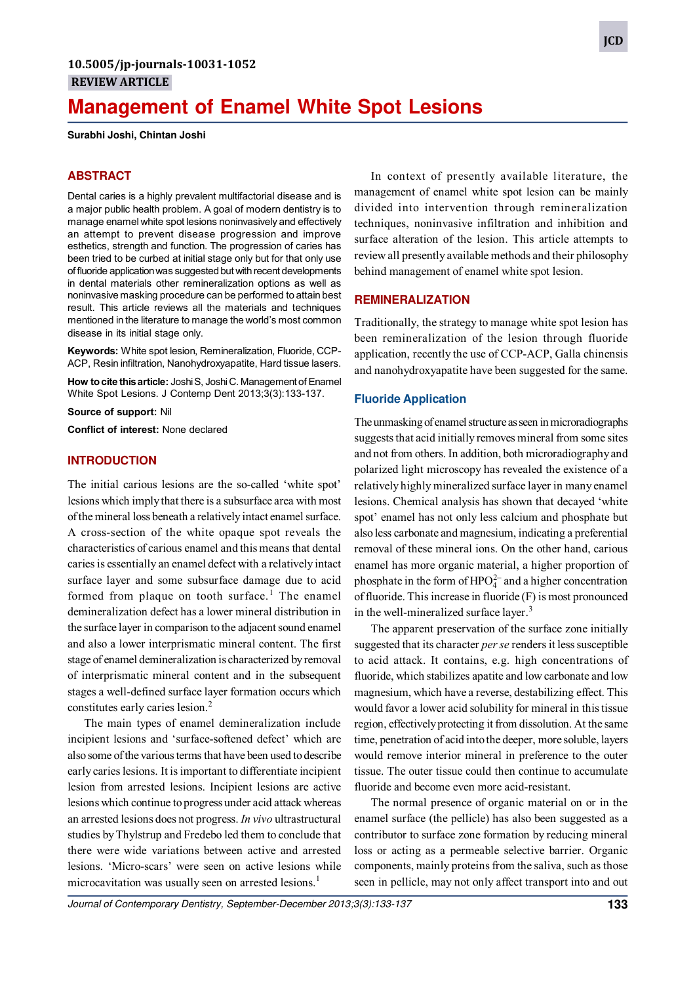# **Management of Enamel White Spot Lesions**

**Surabhi Joshi, Chintan Joshi**

#### **ABSTRACT**

Dental caries is a highly prevalent multifactorial disease and is a major public health problem. A goal of modern dentistry is to manage enamel white spot lesions noninvasively and effectively an attempt to prevent disease progression and improve esthetics, strength and function. The progression of caries has been tried to be curbed at initial stage only but for that only use of fluoride application was suggested but with recent developments in dental materials other remineralization options as well as noninvasive masking procedure can be performed to attain best result. This article reviews all the materials and techniques mentioned in the literature to manage the world's most common disease in its initial stage only.

**Keywords:** White spot lesion, Remineralization, Fluoride, CCP-ACP, Resin infiltration, Nanohydroxyapatite, Hard tissue lasers.

**How to cite this article:** Joshi S, Joshi C. Management of Enamel White Spot Lesions. J Contemp Dent 2013;3(3):133-137.

**Source of support:** Nil

**Conflict of interest:** None declared

#### **INTRODUCTION**

The initial carious lesions are the so-called 'white spot' lesions which imply that there is a subsurface area with most of the mineral loss beneath a relatively intact enamel surface. A cross-section of the white opaque spot reveals the characteristics of carious enamel and this means that dental caries is essentially an enamel defect with a relatively intact surface layer and some subsurface damage due to acid formed from plaque on tooth surface.<sup>1</sup> The enamel demineralization defect has a lower mineral distribution in the surface layer in comparison to the adjacent sound enamel and also a lower interprismatic mineral content. The first stage of enamel demineralization is characterized by removal of interprismatic mineral content and in the subsequent stages a well-defined surface layer formation occurs which constitutes early caries lesion.<sup>2</sup>

The main types of enamel demineralization include incipient lesions and 'surface-softened defect' which are also some of the various terms that have been used to describe early caries lesions. It is important to differentiate incipient lesion from arrested lesions. Incipient lesions are active lesions which continue to progress under acid attack whereas an arrested lesions does not progress. *In vivo* ultrastructural studies by Thylstrup and Fredebo led them to conclude that there were wide variations between active and arrested lesions. 'Micro-scars' were seen on active lesions while microcavitation was usually seen on arrested lesions.<sup>1</sup>

In context of presently available literature, the management of enamel white spot lesion can be mainly divided into intervention through remineralization techniques, noninvasive infiltration and inhibition and surface alteration of the lesion. This article attempts to review all presently available methods and their philosophy behind management of enamel white spot lesion.

## **REMINERALIZATION**

Traditionally, the strategy to manage white spot lesion has been remineralization of the lesion through fluoride application, recently the use of CCP-ACP, Galla chinensis and nanohydroxyapatite have been suggested for the same.

#### **Fluoride Application**

The unmasking of enamel structure as seen in microradiographs suggests that acid initially removes mineral from some sites and not from others. In addition, both microradiography and polarized light microscopy has revealed the existence of a relatively highly mineralized surface layer in many enamel lesions. Chemical analysis has shown that decayed 'white spot' enamel has not only less calcium and phosphate but also less carbonate and magnesium, indicating a preferential removal of these mineral ions. On the other hand, carious enamel has more organic material, a higher proportion of phosphate in the form of  $HPO<sub>4</sub><sup>2-</sup>$  and a higher concentration of fluoride. This increase in fluoride (F) is most pronounced in the well-mineralized surface layer. $3$ 

The apparent preservation of the surface zone initially suggested that its character *per se* renders it less susceptible to acid attack. It contains, e.g. high concentrations of fluoride, which stabilizes apatite and low carbonate and low magnesium, which have a reverse, destabilizing effect. This would favor a lower acid solubility for mineral in this tissue region, effectively protecting it from dissolution. At the same time, penetration of acid into the deeper, more soluble, layers would remove interior mineral in preference to the outer tissue. The outer tissue could then continue to accumulate fluoride and become even more acid-resistant.

The normal presence of organic material on or in the enamel surface (the pellicle) has also been suggested as a contributor to surface zone formation by reducing mineral loss or acting as a permeable selective barrier. Organic components, mainly proteins from the saliva, such as those seen in pellicle, may not only affect transport into and out

Journal of Contemporary Dentistry, September-December 2013;3(3):133-137 **133**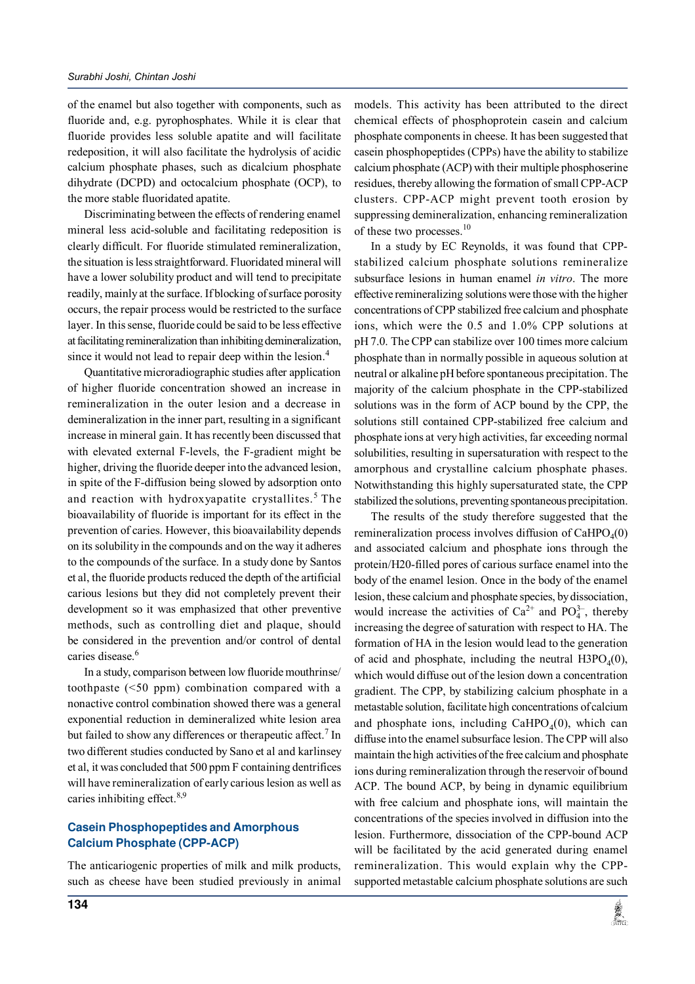of the enamel but also together with components, such as fluoride and, e.g. pyrophosphates. While it is clear that fluoride provides less soluble apatite and will facilitate redeposition, it will also facilitate the hydrolysis of acidic calcium phosphate phases, such as dicalcium phosphate dihydrate (DCPD) and octocalcium phosphate (OCP), to the more stable fluoridated apatite.

Discriminating between the effects of rendering enamel mineral less acid-soluble and facilitating redeposition is clearly difficult. For fluoride stimulated remineralization, the situation is less straightforward. Fluoridated mineral will have a lower solubility product and will tend to precipitate readily, mainly at the surface. If blocking of surface porosity occurs, the repair process would be restricted to the surface layer. In this sense, fluoride could be said to be less effective at facilitating remineralization than inhibiting demineralization, since it would not lead to repair deep within the lesion.<sup>4</sup>

Quantitative microradiographic studies after application of higher fluoride concentration showed an increase in remineralization in the outer lesion and a decrease in demineralization in the inner part, resulting in a significant increase in mineral gain. It has recently been discussed that with elevated external F-levels, the F-gradient might be higher, driving the fluoride deeper into the advanced lesion, in spite of the F-diffusion being slowed by adsorption onto and reaction with hydroxyapatite crystallites.<sup>5</sup> The bioavailability of fluoride is important for its effect in the prevention of caries. However, this bioavailability depends on its solubility in the compounds and on the way it adheres to the compounds of the surface. In a study done by Santos et al, the fluoride products reduced the depth of the artificial carious lesions but they did not completely prevent their development so it was emphasized that other preventive methods, such as controlling diet and plaque, should be considered in the prevention and/or control of dental caries disease.<sup>6</sup>

In a study, comparison between low fluoride mouthrinse/ toothpaste (<50 ppm) combination compared with a nonactive control combination showed there was a general exponential reduction in demineralized white lesion area but failed to show any differences or therapeutic affect.<sup>7</sup> In two different studies conducted by Sano et al and karlinsey et al, it was concluded that 500 ppm F containing dentrifices will have remineralization of early carious lesion as well as caries inhibiting effect.<sup>8,9</sup>

## **Casein Phosphopeptides and Amorphous Calcium Phosphate (CPP-ACP)**

The anticariogenic properties of milk and milk products, such as cheese have been studied previously in animal models. This activity has been attributed to the direct chemical effects of phosphoprotein casein and calcium phosphate components in cheese. It has been suggested that casein phosphopeptides (CPPs) have the ability to stabilize calcium phosphate (ACP) with their multiple phosphoserine residues, thereby allowing the formation of small CPP-ACP clusters. CPP-ACP might prevent tooth erosion by suppressing demineralization, enhancing remineralization of these two processes.<sup>10</sup>

In a study by EC Reynolds, it was found that CPPstabilized calcium phosphate solutions remineralize subsurface lesions in human enamel *in vitro*. The more effective remineralizing solutions were those with the higher concentrations of CPP stabilized free calcium and phosphate ions, which were the 0.5 and 1.0% CPP solutions at pH 7.0. The CPP can stabilize over 100 times more calcium phosphate than in normally possible in aqueous solution at neutral or alkaline pH before spontaneous precipitation. The majority of the calcium phosphate in the CPP-stabilized solutions was in the form of ACP bound by the CPP, the solutions still contained CPP-stabilized free calcium and phosphate ions at very high activities, far exceeding normal solubilities, resulting in supersaturation with respect to the amorphous and crystalline calcium phosphate phases. Notwithstanding this highly supersaturated state, the CPP stabilized the solutions, preventing spontaneous precipitation.

The results of the study therefore suggested that the remineralization process involves diffusion of  $CaHPO<sub>4</sub>(0)$ and associated calcium and phosphate ions through the protein/H20-filled pores of carious surface enamel into the body of the enamel lesion. Once in the body of the enamel lesion, these calcium and phosphate species, by dissociation, would increase the activities of  $Ca^{2+}$  and  $PO_4^{3-}$ , thereby increasing the degree of saturation with respect to HA. The formation of HA in the lesion would lead to the generation of acid and phosphate, including the neutral  $H3PO<sub>4</sub>(0)$ , which would diffuse out of the lesion down a concentration gradient. The CPP, by stabilizing calcium phosphate in a metastable solution, facilitate high concentrations of calcium and phosphate ions, including  $CaHPO<sub>4</sub>(0)$ , which can diffuse into the enamel subsurface lesion. The CPP will also maintain the high activities of the free calcium and phosphate ions during remineralization through the reservoir of bound ACP. The bound ACP, by being in dynamic equilibrium with free calcium and phosphate ions, will maintain the concentrations of the species involved in diffusion into the lesion. Furthermore, dissociation of the CPP-bound ACP will be facilitated by the acid generated during enamel remineralization. This would explain why the CPPsupported metastable calcium phosphate solutions are such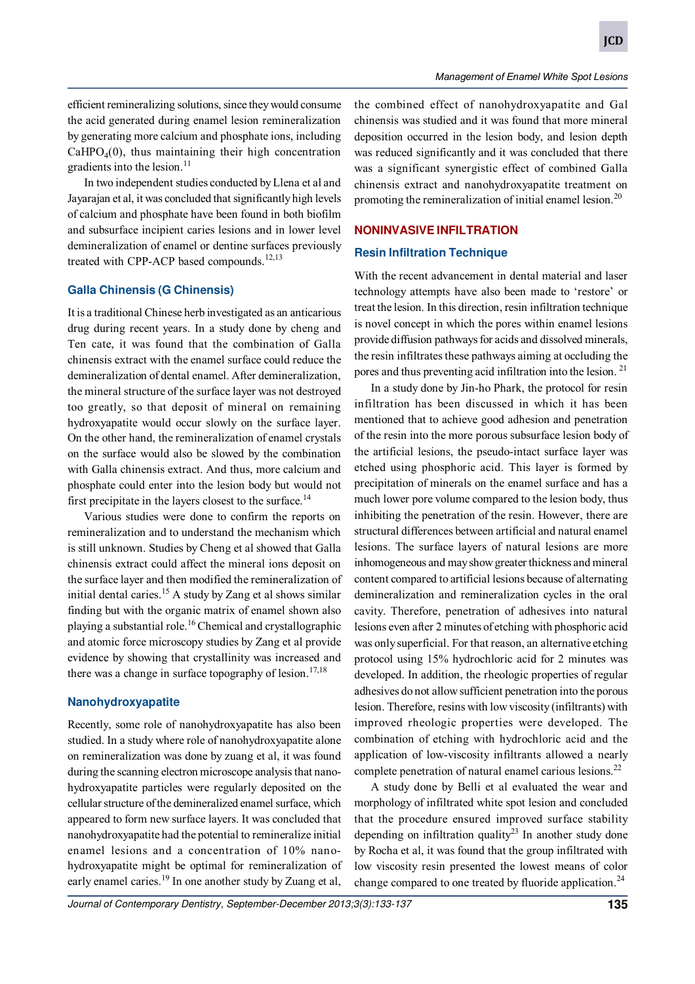efficient remineralizing solutions, since they would consume the acid generated during enamel lesion remineralization by generating more calcium and phosphate ions, including  $CaHPO<sub>4</sub>(0)$ , thus maintaining their high concentration gradients into the lesion. $^{11}$ 

In two independent studies conducted by Llena et al and Jayarajan et al, it was concluded that significantly high levels of calcium and phosphate have been found in both biofilm and subsurface incipient caries lesions and in lower level demineralization of enamel or dentine surfaces previously treated with CPP-ACP based compounds.<sup>12,13</sup>

## **Galla Chinensis (G Chinensis)**

It is a traditional Chinese herb investigated as an anticarious drug during recent years. In a study done by cheng and Ten cate, it was found that the combination of Galla chinensis extract with the enamel surface could reduce the demineralization of dental enamel. After demineralization, the mineral structure of the surface layer was not destroyed too greatly, so that deposit of mineral on remaining hydroxyapatite would occur slowly on the surface layer. On the other hand, the remineralization of enamel crystals on the surface would also be slowed by the combination with Galla chinensis extract. And thus, more calcium and phosphate could enter into the lesion body but would not first precipitate in the layers closest to the surface.<sup>14</sup>

Various studies were done to confirm the reports on remineralization and to understand the mechanism which is still unknown. Studies by Cheng et al showed that Galla chinensis extract could affect the mineral ions deposit on the surface layer and then modified the remineralization of initial dental caries.<sup>15</sup> A study by Zang et al shows similar finding but with the organic matrix of enamel shown also playing a substantial role.<sup>16</sup> Chemical and crystallographic and atomic force microscopy studies by Zang et al provide evidence by showing that crystallinity was increased and there was a change in surface topography of lesion.<sup>17,18</sup>

#### **Nanohydroxyapatite**

Recently, some role of nanohydroxyapatite has also been studied. In a study where role of nanohydroxyapatite alone on remineralization was done by zuang et al, it was found during the scanning electron microscope analysis that nanohydroxyapatite particles were regularly deposited on the cellular structure of the demineralized enamel surface, which appeared to form new surface layers. It was concluded that nanohydroxyapatite had the potential to remineralize initial enamel lesions and a concentration of 10% nanohydroxyapatite might be optimal for remineralization of early enamel caries.<sup>19</sup> In one another study by Zuang et al,

the combined effect of nanohydroxyapatite and Gal chinensis was studied and it was found that more mineral deposition occurred in the lesion body, and lesion depth was reduced significantly and it was concluded that there was a significant synergistic effect of combined Galla chinensis extract and nanohydroxyapatite treatment on promoting the remineralization of initial enamel lesion.<sup>20</sup>

### **NONINVASIVE INFILTRATION**

#### **Resin Infiltration Technique**

With the recent advancement in dental material and laser technology attempts have also been made to 'restore' or treat the lesion. In this direction, resin infiltration technique is novel concept in which the pores within enamel lesions provide diffusion pathways for acids and dissolved minerals, the resin infiltrates these pathways aiming at occluding the pores and thus preventing acid infiltration into the lesion. <sup>21</sup>

In a study done by Jin-ho Phark, the protocol for resin infiltration has been discussed in which it has been mentioned that to achieve good adhesion and penetration of the resin into the more porous subsurface lesion body of the artificial lesions, the pseudo-intact surface layer was etched using phosphoric acid. This layer is formed by precipitation of minerals on the enamel surface and has a much lower pore volume compared to the lesion body, thus inhibiting the penetration of the resin. However, there are structural differences between artificial and natural enamel lesions. The surface layers of natural lesions are more inhomogeneous and may show greater thickness and mineral content compared to artificial lesions because of alternating demineralization and remineralization cycles in the oral cavity. Therefore, penetration of adhesives into natural lesions even after 2 minutes of etching with phosphoric acid was only superficial. For that reason, an alternative etching protocol using 15% hydrochloric acid for 2 minutes was developed. In addition, the rheologic properties of regular adhesives do not allow sufficient penetration into the porous lesion. Therefore, resins with low viscosity (infiltrants) with improved rheologic properties were developed. The combination of etching with hydrochloric acid and the application of low-viscosity infiltrants allowed a nearly complete penetration of natural enamel carious lesions.<sup>22</sup>

A study done by Belli et al evaluated the wear and morphology of infiltrated white spot lesion and concluded that the procedure ensured improved surface stability depending on infiltration quality<sup>23</sup> In another study done by Rocha et al, it was found that the group infiltrated with low viscosity resin presented the lowest means of color change compared to one treated by fluoride application.<sup>24</sup>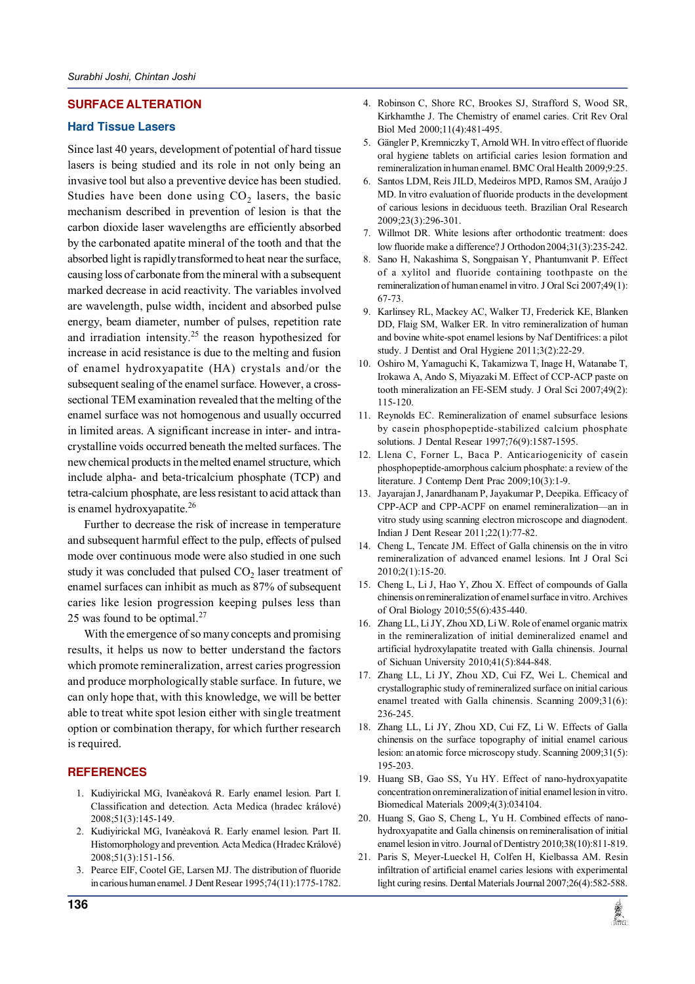## **SURFACE ALTERATION**

#### **Hard Tissue Lasers**

Since last 40 years, development of potential of hard tissue lasers is being studied and its role in not only being an invasive tool but also a preventive device has been studied. Studies have been done using  $CO<sub>2</sub>$  lasers, the basic mechanism described in prevention of lesion is that the carbon dioxide laser wavelengths are efficiently absorbed by the carbonated apatite mineral of the tooth and that the absorbed light is rapidly transformed to heat near the surface, causing loss of carbonate from the mineral with a subsequent marked decrease in acid reactivity. The variables involved are wavelength, pulse width, incident and absorbed pulse energy, beam diameter, number of pulses, repetition rate and irradiation intensity.<sup>25</sup> the reason hypothesized for increase in acid resistance is due to the melting and fusion of enamel hydroxyapatite (HA) crystals and/or the subsequent sealing of the enamel surface. However, a crosssectional TEM examination revealed that the melting of the enamel surface was not homogenous and usually occurred in limited areas. A significant increase in inter- and intracrystalline voids occurred beneath the melted surfaces. The new chemical products in the melted enamel structure, which include alpha- and beta-tricalcium phosphate (TCP) and tetra-calcium phosphate, are less resistant to acid attack than is enamel hydroxyapatite.<sup>26</sup>

Further to decrease the risk of increase in temperature and subsequent harmful effect to the pulp, effects of pulsed mode over continuous mode were also studied in one such study it was concluded that pulsed  $\mathrm{CO}_2$  laser treatment of enamel surfaces can inhibit as much as 87% of subsequent caries like lesion progression keeping pulses less than 25 was found to be optimal.<sup>27</sup>

With the emergence of so many concepts and promising results, it helps us now to better understand the factors which promote remineralization, arrest caries progression and produce morphologically stable surface. In future, we can only hope that, with this knowledge, we will be better able to treat white spot lesion either with single treatment option or combination therapy, for which further research is required.

#### **REFERENCES**

- 1. Kudiyirickal MG, Ivanèaková R. Early enamel lesion. Part I. Classification and detection. Acta Medica (hradec králové) 2008;51(3):145-149.
- 2. Kudiyirickal MG, Ivanèaková R. Early enamel lesion. Part II. Histomorphology and prevention. Acta Medica (Hradec Králové) 2008;51(3):151-156.
- 3. Pearce EIF, Cootel GE, Larsen MJ. The distribution of fluoride in carious human enamel. J Dent Resear 1995;74(11):1775-1782.
- 4. Robinson C, Shore RC, Brookes SJ, Strafford S, Wood SR, Kirkhamthe J. The Chemistry of enamel caries. Crit Rev Oral Biol Med 2000;11(4):481-495.
- 5. Gängler P, Kremniczky T, Arnold WH. In vitro effect of fluoride oral hygiene tablets on artificial caries lesion formation and remineralization in human enamel. BMC Oral Health 2009;9:25.
- 6. Santos LDM, Reis JILD, Medeiros MPD, Ramos SM, Araújo J MD. In vitro evaluation of fluoride products in the development of carious lesions in deciduous teeth. Brazilian Oral Research 2009;23(3):296-301.
- 7. Willmot DR. White lesions after orthodontic treatment: does low fluoride make a difference? J Orthodon 2004;31(3):235-242.
- 8. Sano H, Nakashima S, Songpaisan Y, Phantumvanit P. Effect of a xylitol and fluoride containing toothpaste on the remineralization of human enamel in vitro. J Oral Sci 2007;49(1): 67-73.
- 9. Karlinsey RL, Mackey AC, Walker TJ, Frederick KE, Blanken DD, Flaig SM, Walker ER. In vitro remineralization of human and bovine white-spot enamel lesions by Naf Dentifrices: a pilot study. J Dentist and Oral Hygiene 2011;3(2):22-29.
- 10. Oshiro M, Yamaguchi K, Takamizwa T, Inage H, Watanabe T, Irokawa A, Ando S, Miyazaki M. Effect of CCP-ACP paste on tooth mineralization an FE-SEM study. J Oral Sci 2007;49(2): 115-120.
- 11. Reynolds EC. Remineralization of enamel subsurface lesions by casein phosphopeptide-stabilized calcium phosphate solutions. J Dental Resear 1997;76(9):1587-1595.
- 12. Llena C, Forner L, Baca P. Anticariogenicity of casein phosphopeptide-amorphous calcium phosphate: a review of the literature. J Contemp Dent Prac 2009;10(3):1-9.
- 13. Jayarajan J, Janardhanam P, Jayakumar P, Deepika. Efficacy of CPP-ACP and CPP-ACPF on enamel remineralization—an in vitro study using scanning electron microscope and diagnodent. Indian J Dent Resear 2011;22(1):77-82.
- 14. Cheng L, Tencate JM. Effect of Galla chinensis on the in vitro remineralization of advanced enamel lesions. Int J Oral Sci  $2010:2(1):15-20$
- 15. Cheng L, Li J, Hao Y, Zhou X. Effect of compounds of Galla chinensis on remineralization of enamel surface in vitro. Archives of Oral Biology 2010;55(6):435-440.
- 16. Zhang LL, Li JY, Zhou XD, Li W. Role of enamel organic matrix in the remineralization of initial demineralized enamel and artificial hydroxylapatite treated with Galla chinensis. Journal of Sichuan University 2010;41(5):844-848.
- 17. Zhang LL, Li JY, Zhou XD, Cui FZ, Wei L. Chemical and crystallographic study of remineralized surface on initial carious enamel treated with Galla chinensis. Scanning 2009;31(6): 236-245.
- 18. Zhang LL, Li JY, Zhou XD, Cui FZ, Li W. Effects of Galla chinensis on the surface topography of initial enamel carious lesion: an atomic force microscopy study. Scanning 2009;31(5): 195-203.
- 19. Huang SB, Gao SS, Yu HY. Effect of nano-hydroxyapatite concentration on remineralization of initial enamel lesion in vitro. Biomedical Materials 2009;4(3):034104.
- 20. Huang S, Gao S, Cheng L, Yu H. Combined effects of nanohydroxyapatite and Galla chinensis on remineralisation of initial enamel lesion in vitro. Journal of Dentistry 2010;38(10):811-819.
- 21. Paris S, Meyer-Lueckel H, Colfen H, Kielbassa AM. Resin infiltration of artificial enamel caries lesions with experimental light curing resins. Dental Materials Journal 2007;26(4):582-588.

**SEARCH**